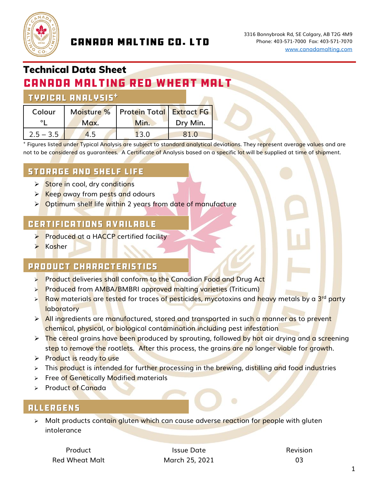

## **CANADA MALTING CO. LTD**

# Technical Data Sheet

# **CANADA MALTING RED WHEAT MALT**

#### **TYPICAL ANALYSIS\***

| Colour      |      | Moisture %   Protein Total   Extract FG |          |
|-------------|------|-----------------------------------------|----------|
|             | Max. | Min.                                    | Dry Min. |
| $2.5 - 3.5$ | 4.5  | 13.0                                    | 81.0     |

<sup>+</sup> Figures listed under Typical Analysis are subject to standard analytical deviations. They represent average values and are not to be considered as guarantees.A Certificate of Analysis based on a specific lot will be supplied at time of shipment.

### **STORAGE AND SHELF LIFE**

- **► Store in cool, dry conditions**
- ➢ Keep away from pests and odours
- ➢ Optimum shelf life within 2 years from date of manufacture

#### **CERTIFICATIONS AVAILABLE**

- **►** Produced at a HACCP certified facility
- ➢ Kosher

#### PRODUCT CHARACTERISTICS

- ➢ Product deliveries shall conform to the Canadian Food and Drug Act
- ➢ Produced from AMBA/BMBRI approved malting varieties (Triticum)
- ≻ Raw materials are tested for traces of pesticides, mycotoxins and heavy metals by a 3<sup>rd</sup> party **laboratory**
- $\triangleright$  All ingredients are manufactured, stored and transported in such a manner as to prevent chemical, physical, or biological contamination including pest infestation
- $\triangleright$  The cereal grains have been produced by sprouting, followed by hot air drying and a screening step to remove the rootlets. After this process, the grains are no longer viable for growth.
- ➢ Product is ready to use
- ➢ This product is intended for further processing in the brewing, distilling and food industries
- ➢ Free of Genetically Modified materials
- ➢ Product of Canada

#### **ALLERGENS**

➢ Malt products contain gluten which can cause adverse reaction for people with gluten intolerance

Product **Issue Date Issue Date Issue Date Revision** Red Wheat Malt March 25, 2021 03